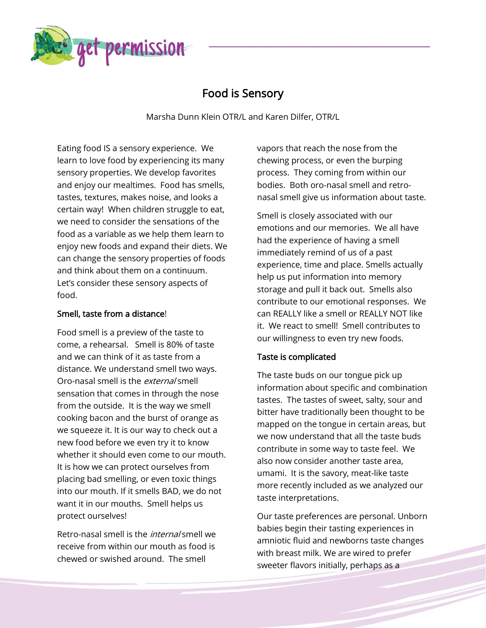

# Food is Sensory

Marsha Dunn Klein OTR/L and Karen Dilfer, OTR/L

Eating food IS a sensory experience. We learn to love food by experiencing its many sensory properties. We develop favorites and enjoy our mealtimes. Food has smells, tastes, textures, makes noise, and looks a certain way! When children struggle to eat, we need to consider the sensations of the food as a variable as we help them learn to enjoy new foods and expand their diets. We can change the sensory properties of foods and think about them on a continuum. Let's consider these sensory aspects of food.

# Smell, taste from a distance!

Food smell is a preview of the taste to come, a rehearsal. Smell is 80% of taste and we can think of it as taste from a distance. We understand smell two ways. Oro-nasal smell is the external smell sensation that comes in through the nose from the outside. It is the way we smell cooking bacon and the burst of orange as we squeeze it. It is our way to check out a new food before we even try it to know whether it should even come to our mouth. It is how we can protect ourselves from placing bad smelling, or even toxic things into our mouth. If it smells BAD, we do not want it in our mouths. Smell helps us protect ourselves!

Retro-nasal smell is the internal smell we receive from within our mouth as food is chewed or swished around. The smell

vapors that reach the nose from the chewing process, or even the burping process. They coming from within our bodies. Both oro-nasal smell and retronasal smell give us information about taste.

Smell is closely associated with our emotions and our memories. We all have had the experience of having a smell immediately remind of us of a past experience, time and place. Smells actually help us put information into memory storage and pull it back out. Smells also contribute to our emotional responses. We can REALLY like a smell or REALLY NOT like it. We react to smell! Smell contributes to our willingness to even try new foods.

# Taste is complicated

The taste buds on our tongue pick up information about specific and combination tastes. The tastes of sweet, salty, sour and bitter have traditionally been thought to be mapped on the tongue in certain areas, but we now understand that all the taste buds contribute in some way to taste feel. We also now consider another taste area, umami. It is the savory, meat-like taste more recently included as we analyzed our taste interpretations.

Our taste preferences are personal. Unborn babies begin their tasting experiences in amniotic fluid and newborns taste changes with breast milk. We are wired to prefer sweeter flavors initially, perhaps as a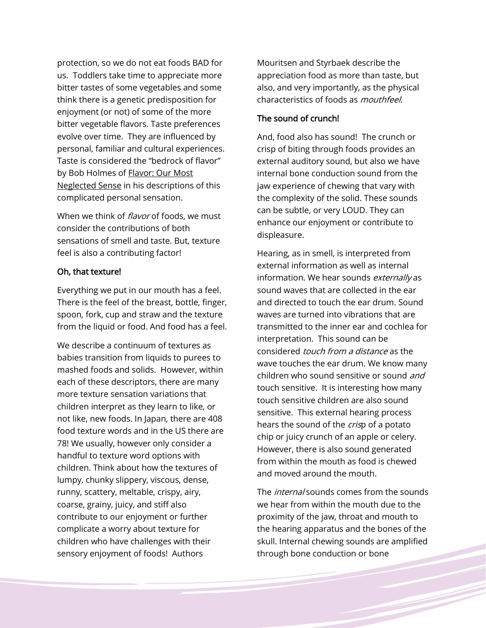protection, so we do not eat foods BAD for us. Toddlers take time to appreciate more bitter tastes of some vegetables and some think there is a genetic predisposition for enjoyment (or not) of some of the more bitter vegetable flavors. Taste preferences evolve over time. They are influenced by personal, familiar and cultural experiences. Taste is considered the "bedrock of flavor" by Bob Holmes of Flavor: Our Most Neglected Sense in his descriptions of this complicated personal sensation.

When we think of *flavor* of foods, we must consider the contributions of both sensations of smell and taste. But, texture feel is also a contributing factor!

#### Oh, that texture!

Everything we put in our mouth has a feel. There is the feel of the breast, bottle, finger, spoon, fork, cup and straw and the texture from the liquid or food. And food has a feel.

We describe a continuum of textures as babies transition from liquids to purees to mashed foods and solids. However, within each of these descriptors, there are many more texture sensation variations that children interpret as they learn to like, or not like, new foods. In Japan, there are 408 food texture words and in the US there are 78! We usually, however only consider a handful to texture word options with children. Think about how the textures of lumpy, chunky slippery, viscous, dense, runny, scattery, meltable, crispy, airy, coarse, grainy, juicy, and stiff also contribute to our enjoyment or further complicate a worry about texture for children who have challenges with their sensory enjoyment of foods! Authors

Mouritsen and Styrbaek describe the appreciation food as more than taste, but also, and very importantly, as the physical characteristics of foods as mouthfeel.

## The sound of crunch!

And, food also has sound! The crunch or crisp of biting through foods provides an external auditory sound, but also we have internal bone conduction sound from the jaw experience of chewing that vary with the complexity of the solid. These sounds can be subtle, or very LOUD. They can enhance our enjoyment or contribute to displeasure.

Hearing, as in smell, is interpreted from external information as well as internal information. We hear sounds externally as sound waves that are collected in the ear and directed to touch the ear drum. Sound waves are turned into vibrations that are transmitted to the inner ear and cochlea for interpretation. This sound can be considered touch from a distance as the wave touches the ear drum. We know many children who sound sensitive or sound and touch sensitive. It is interesting how many touch sensitive children are also sound sensitive. This external hearing process hears the sound of the *cris*p of a potato chip or juicy crunch of an apple or celery. However, there is also sound generated from within the mouth as food is chewed and moved around the mouth.

The *internal* sounds comes from the sounds we hear from within the mouth due to the proximity of the jaw, throat and mouth to the hearing apparatus and the bones of the skull. Internal chewing sounds are amplified through bone conduction or bone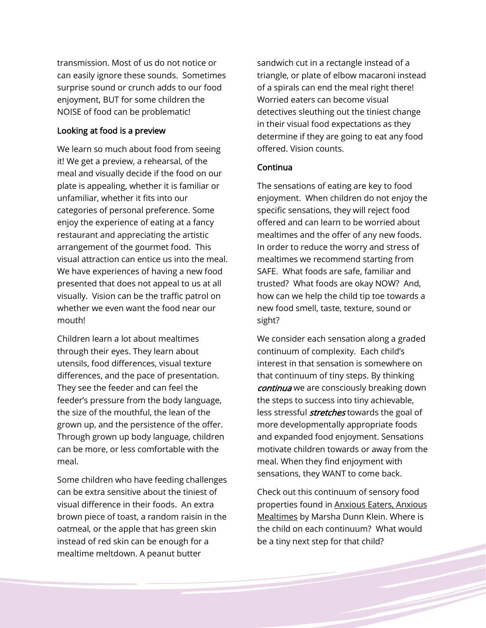transmission. Most of us do not notice or can easily ignore these sounds. Sometimes surprise sound or crunch adds to our food enjoyment, BUT for some children the NOISE of food can be problematic!

## Looking at food is a preview

We learn so much about food from seeing it! We get a preview, a rehearsal, of the meal and visually decide if the food on our plate is appealing, whether it is familiar or unfamiliar, whether it fits into our categories of personal preference. Some enjoy the experience of eating at a fancy restaurant and appreciating the artistic arrangement of the gourmet food. This visual attraction can entice us into the meal. We have experiences of having a new food presented that does not appeal to us at all visually. Vision can be the traffic patrol on whether we even want the food near our mouth!

Children learn a lot about mealtimes through their eyes. They learn about utensils, food differences, visual texture differences, and the pace of presentation. They see the feeder and can feel the feeder's pressure from the body language, the size of the mouthful, the lean of the grown up, and the persistence of the offer. Through grown up body language, children can be more, or less comfortable with the meal.

Some children who have feeding challenges can be extra sensitive about the tiniest of visual difference in their foods. An extra brown piece of toast, a random raisin in the oatmeal, or the apple that has green skin instead of red skin can be enough for a mealtime meltdown. A peanut butter

sandwich cut in a rectangle instead of a triangle, or plate of elbow macaroni instead of a spirals can end the meal right there! Worried eaters can become visual detectives sleuthing out the tiniest change in their visual food expectations as they determine if they are going to eat any food offered. Vision counts.

### Continua

The sensations of eating are key to food enjoyment. When children do not enjoy the specific sensations, they will reject food offered and can learn to be worried about mealtimes and the offer of any new foods. In order to reduce the worry and stress of mealtimes we recommend starting from SAFE. What foods are safe, familiar and trusted? What foods are okay NOW? And, how can we help the child tip toe towards a new food smell, taste, texture, sound or sight?

We consider each sensation along a graded continuum of complexity. Each child's interest in that sensation is somewhere on that continuum of tiny steps. By thinking continua we are consciously breaking down the steps to success into tiny achievable, less stressful *stretches* towards the goal of more developmentally appropriate foods and expanded food enjoyment. Sensations motivate children towards or away from the meal. When they find enjoyment with sensations, they WANT to come back.

Check out this continuum of sensory food properties found in Anxious Eaters, Anxious Mealtimes by Marsha Dunn Klein. Where is the child on each continuum? What would be a tiny next step for that child?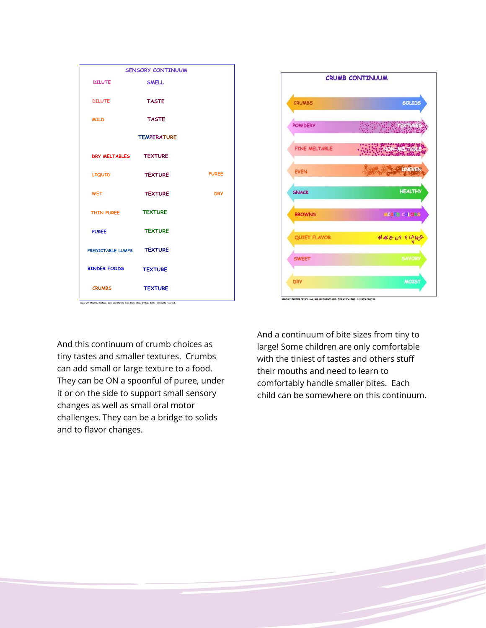| <b>SENSORY CONTINUUM</b>                                                                                        |                |              |
|-----------------------------------------------------------------------------------------------------------------|----------------|--------------|
| <b>DILUTE</b>                                                                                                   | <b>SMELL</b>   |              |
| <b>DILUTE</b>                                                                                                   | <b>TASTE</b>   |              |
| <b>MILD</b>                                                                                                     | <b>TASTE</b>   |              |
| <b>TEMPERATURE</b>                                                                                              |                |              |
| DRY MELTABLES TEXTURE                                                                                           |                |              |
| <b>LIQUID</b>                                                                                                   | <b>TEXTURE</b> | <b>PUREE</b> |
| <b>WET</b>                                                                                                      | <b>TEXTURE</b> | <b>DRY</b>   |
| THIN PUREE <b>TEXTURE</b>                                                                                       |                |              |
| <b>PUREE</b>                                                                                                    | <b>TEXTURE</b> |              |
| PREDICTABLE LUMPS TEXTURE                                                                                       |                |              |
| <b>BINDER FOODS</b>                                                                                             | <b>TEXTURE</b> |              |
| <b>CRUMBS</b><br>Copyright Mealtime Notions, LLC, and Marsha Dunn Klein, MEd, OTR/L, 2018. All rights reserved. | <b>TEXTURE</b> |              |

And this continuum of crumb choices as tiny tastes and smaller textures. Crumbs can add small or large texture to a food. They can be ON a spoonful of puree, under it or on the side to support small sensory changes as well as small oral motor challenges. They can be a bridge to solids and to flavor changes.



And a continuum of bite sizes from tiny to large! Some children are only comfortable with the tiniest of tastes and others stuff their mouths and need to learn to comfortably handle smaller bites. Each child can be somewhere on this continuum.